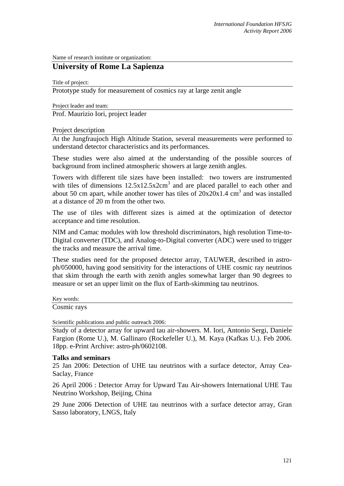Name of research institute or organization:

## **University of Rome La Sapienza**

Title of project:

Prototype study for measurement of cosmics ray at large zenit angle

Project leader and team:

Prof. Maurizio Iori, project leader

Project description

At the Jungfraujoch High Altitude Station, several measurements were performed to understand detector characteristics and its performances.

These studies were also aimed at the understanding of the possible sources of background from inclined atmospheric showers at large zenith angles.

Towers with different tile sizes have been installed: two towers are instrumented with tiles of dimensions  $12.5x12.5x2cm<sup>3</sup>$  and are placed parallel to each other and about 50 cm apart, while another tower has tiles of  $20x20x1.4$  cm<sup>3</sup> and was installed at a distance of 20 m from the other two.

The use of tiles with different sizes is aimed at the optimization of detector acceptance and time resolution.

NIM and Camac modules with low threshold discriminators, high resolution Time-to-Digital converter (TDC), and Analog-to-Digital converter (ADC) were used to trigger the tracks and measure the arrival time.

These studies need for the proposed detector array, TAUWER, described in astroph/050000, having good sensitivity for the interactions of UHE cosmic ray neutrinos that skim through the earth with zenith angles somewhat larger than 90 degrees to measure or set an upper limit on the flux of Earth-skimming tau neutrinos.

Key words:

Cosmic rays

Scientific publications and public outreach 2006:

Study of a detector array for upward tau air-showers. M. Iori, Antonio Sergi, Daniele Fargion (Rome U.), M. Gallinaro (Rockefeller U.), M. Kaya (Kafkas U.). Feb 2006. 18pp. e-Print Archive: astro-ph/0602108.

## **Talks and seminars**

25 Jan 2006: Detection of UHE tau neutrinos with a surface detector, Array Cea-Saclay, France

26 April 2006 : Detector Array for Upward Tau Air-showers International UHE Tau Neutrino Workshop, Beijing, China

29 June 2006 Detection of UHE tau neutrinos with a surface detector array, Gran Sasso laboratory, LNGS, Italy